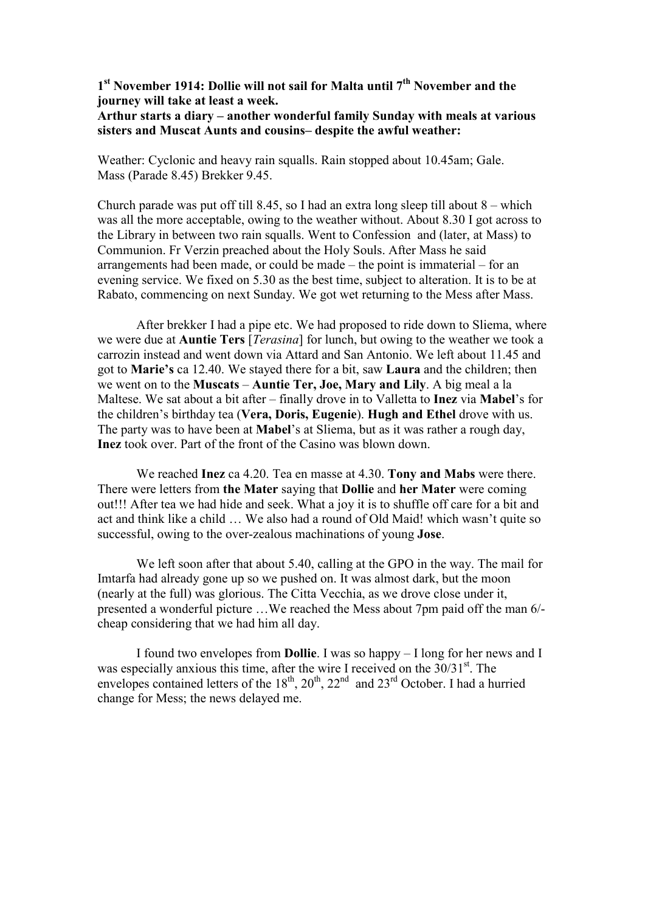## **1 st November 1914: Dollie will not sail for Malta until 7th November and the journey will take at least a week.**

### **Arthur starts a diary – another wonderful family Sunday with meals at various sisters and Muscat Aunts and cousins– despite the awful weather:**

Weather: Cyclonic and heavy rain squalls. Rain stopped about 10.45am; Gale. Mass (Parade 8.45) Brekker 9.45.

Church parade was put off till 8.45, so I had an extra long sleep till about  $8 -$  which was all the more acceptable, owing to the weather without. About 8.30 I got across to the Library in between two rain squalls. Went to Confession and (later, at Mass) to Communion. Fr Verzin preached about the Holy Souls. After Mass he said arrangements had been made, or could be made – the point is immaterial – for an evening service. We fixed on 5.30 as the best time, subject to alteration. It is to be at Rabato, commencing on next Sunday. We got wet returning to the Mess after Mass.

 After brekker I had a pipe etc. We had proposed to ride down to Sliema, where we were due at **Auntie Ters** [*Terasina*] for lunch, but owing to the weather we took a carrozin instead and went down via Attard and San Antonio. We left about 11.45 and got to **Marie's** ca 12.40. We stayed there for a bit, saw **Laura** and the children; then we went on to the **Muscats** – **Auntie Ter, Joe, Mary and Lily**. A big meal a la Maltese. We sat about a bit after – finally drove in to Valletta to **Inez** via **Mabel**'s for the children's birthday tea (**Vera, Doris, Eugenie**). **Hugh and Ethel** drove with us. The party was to have been at **Mabel**'s at Sliema, but as it was rather a rough day, **Inez** took over. Part of the front of the Casino was blown down.

 We reached **Inez** ca 4.20. Tea en masse at 4.30. **Tony and Mabs** were there. There were letters from **the Mater** saying that **Dollie** and **her Mater** were coming out!!! After tea we had hide and seek. What a joy it is to shuffle off care for a bit and act and think like a child … We also had a round of Old Maid! which wasn't quite so successful, owing to the over-zealous machinations of young **Jose**.

 We left soon after that about 5.40, calling at the GPO in the way. The mail for Imtarfa had already gone up so we pushed on. It was almost dark, but the moon (nearly at the full) was glorious. The Citta Vecchia, as we drove close under it, presented a wonderful picture …We reached the Mess about 7pm paid off the man 6/ cheap considering that we had him all day.

 I found two envelopes from **Dollie**. I was so happy – I long for her news and I was especially anxious this time, after the wire I received on the  $30/31<sup>st</sup>$ . The envelopes contained letters of the  $18^{th}$ ,  $20^{th}$ ,  $22^{nd}$  and  $23^{rd}$  October. I had a hurried change for Mess; the news delayed me.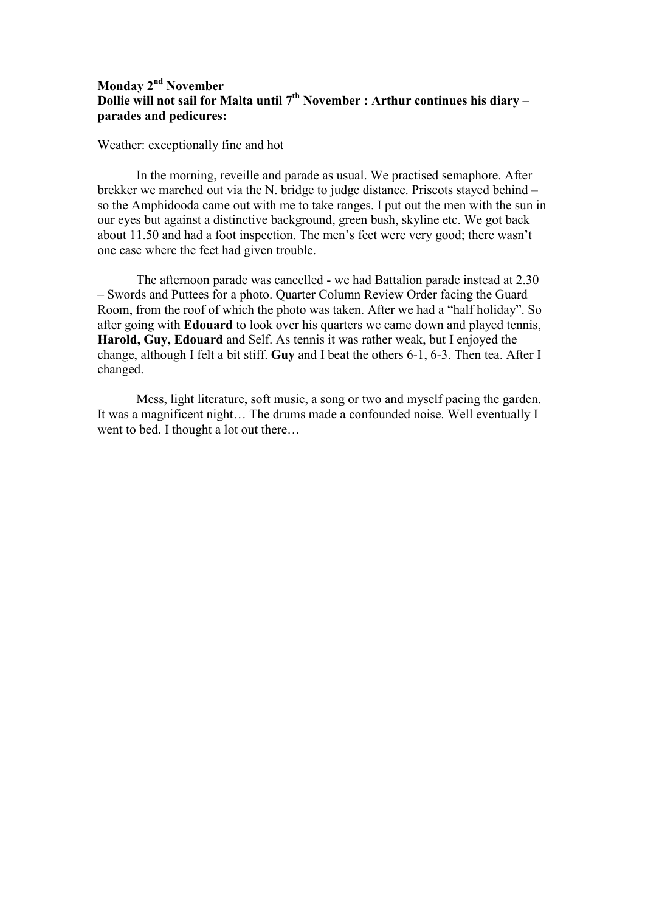# **Monday 2nd November Dollie will not sail for Malta until 7th November : Arthur continues his diary – parades and pedicures:**

#### Weather: exceptionally fine and hot

In the morning, reveille and parade as usual. We practised semaphore. After brekker we marched out via the N. bridge to judge distance. Priscots stayed behind – so the Amphidooda came out with me to take ranges. I put out the men with the sun in our eyes but against a distinctive background, green bush, skyline etc. We got back about 11.50 and had a foot inspection. The men's feet were very good; there wasn't one case where the feet had given trouble.

 The afternoon parade was cancelled - we had Battalion parade instead at 2.30 – Swords and Puttees for a photo. Quarter Column Review Order facing the Guard Room, from the roof of which the photo was taken. After we had a "half holiday". So after going with **Edouard** to look over his quarters we came down and played tennis, **Harold, Guy, Edouard** and Self. As tennis it was rather weak, but I enjoyed the change, although I felt a bit stiff. **Guy** and I beat the others 6-1, 6-3. Then tea. After I changed.

 Mess, light literature, soft music, a song or two and myself pacing the garden. It was a magnificent night… The drums made a confounded noise. Well eventually I went to bed. I thought a lot out there…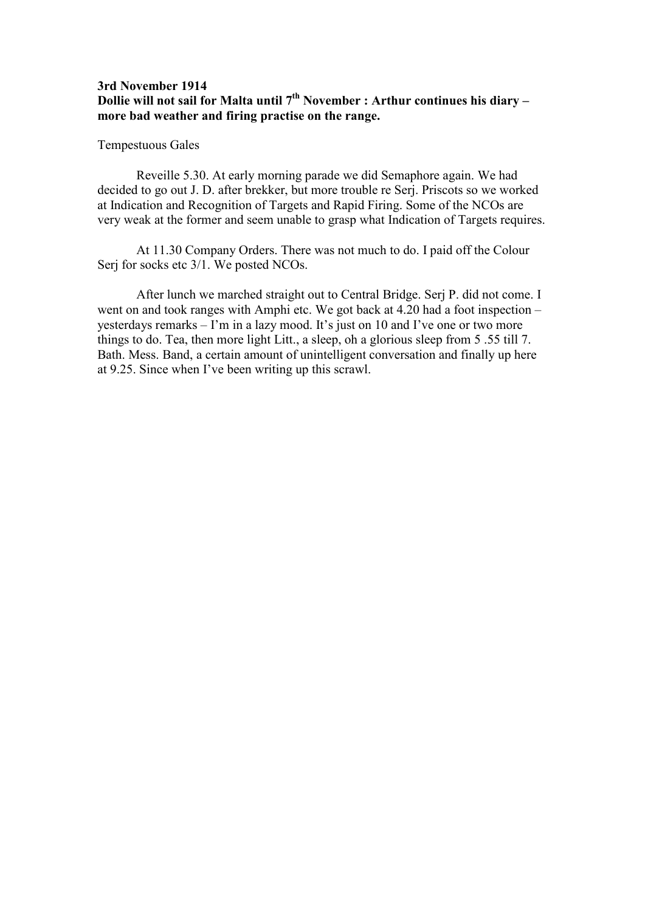## **3rd November 1914 Dollie will not sail for Malta until 7th November : Arthur continues his diary – more bad weather and firing practise on the range.**

Tempestuous Gales

Reveille 5.30. At early morning parade we did Semaphore again. We had decided to go out J. D. after brekker, but more trouble re Serj. Priscots so we worked at Indication and Recognition of Targets and Rapid Firing. Some of the NCOs are very weak at the former and seem unable to grasp what Indication of Targets requires.

 At 11.30 Company Orders. There was not much to do. I paid off the Colour Serj for socks etc 3/1. We posted NCOs.

 After lunch we marched straight out to Central Bridge. Serj P. did not come. I went on and took ranges with Amphi etc. We got back at 4.20 had a foot inspection – yesterdays remarks – I'm in a lazy mood. It's just on 10 and I've one or two more things to do. Tea, then more light Litt., a sleep, oh a glorious sleep from 5 .55 till 7. Bath. Mess. Band, a certain amount of unintelligent conversation and finally up here at 9.25. Since when I've been writing up this scrawl.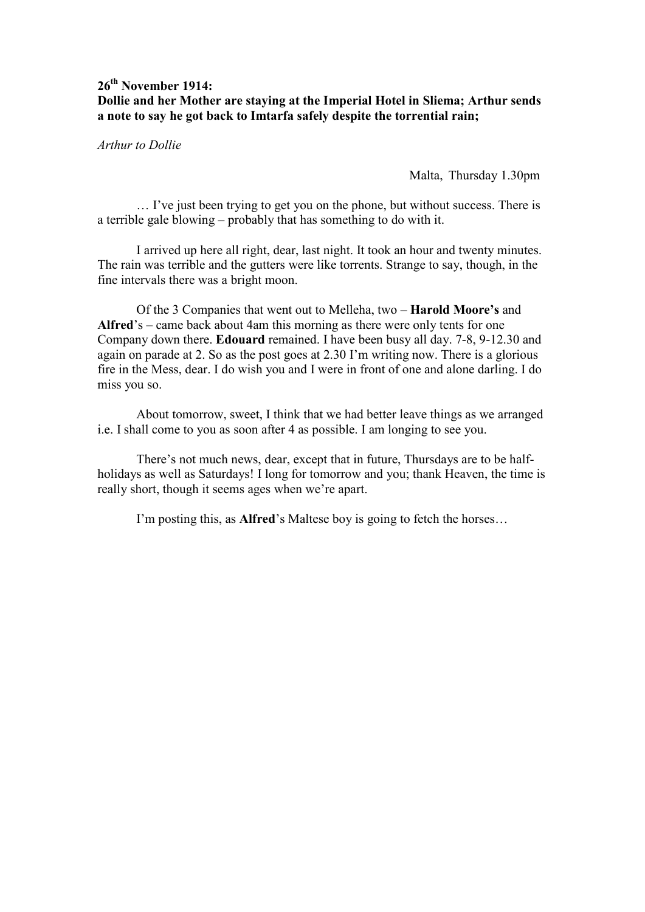## **26th November 1914: Dollie and her Mother are staying at the Imperial Hotel in Sliema; Arthur sends a note to say he got back to Imtarfa safely despite the torrential rain;**

*Arthur to Dollie* 

Malta, Thursday 1.30pm

 … I've just been trying to get you on the phone, but without success. There is a terrible gale blowing – probably that has something to do with it.

 I arrived up here all right, dear, last night. It took an hour and twenty minutes. The rain was terrible and the gutters were like torrents. Strange to say, though, in the fine intervals there was a bright moon.

 Of the 3 Companies that went out to Melleha, two – **Harold Moore's** and **Alfred**'s – came back about 4am this morning as there were only tents for one Company down there. **Edouard** remained. I have been busy all day. 7-8, 9-12.30 and again on parade at 2. So as the post goes at 2.30 I'm writing now. There is a glorious fire in the Mess, dear. I do wish you and I were in front of one and alone darling. I do miss you so.

 About tomorrow, sweet, I think that we had better leave things as we arranged i.e. I shall come to you as soon after 4 as possible. I am longing to see you.

 There's not much news, dear, except that in future, Thursdays are to be halfholidays as well as Saturdays! I long for tomorrow and you; thank Heaven, the time is really short, though it seems ages when we're apart.

I'm posting this, as **Alfred**'s Maltese boy is going to fetch the horses…